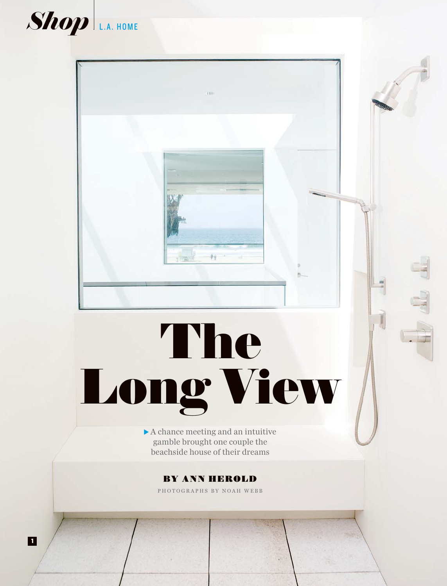

**46** LOS ANGELES

 $\blacksquare$ 

# ng Vi A chance meeting and an intuitive<br>gamble brought one couple the<br>heachside house of their dreams

车家

r, š

nis

 $\blacktriangleright$  A chance meeting and an intuitive gamble brought one couple the beachside house of their dreams

PHOTOGRAPHS BY NOAH WEBB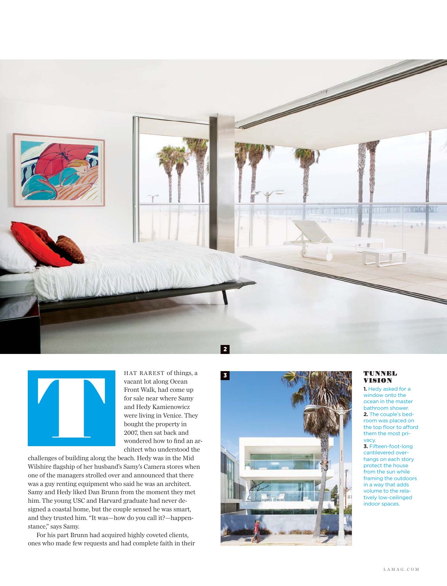



HAT RAREST of things, a vacant lot along Ocean Front Walk, had come up for sale near where Samy and Hedy Kamienowicz were living in Venice. They bought the property in 2007, then sat back and wondered how to find an architect who understood the

challenges of building along the beach. Hedy was in the Mid Wilshire flagship of her husband's Samy's Camera stores when one of the managers strolled over and announced that there was a guy renting equipment who said he was an architect. Samy and Hedy liked Dan Brunn from the moment they met him. The young USC and Harvard graduate had never designed a coastal home, but the couple sensed he was smart, and they trusted him. "It was—how do you call it?—happenstance," says Samy.

For his part Brunn had acquired highly coveted clients, ones who made few requests and had complete faith in their



## TUNNEL VISION

**1.** Hedy asked for a window onto the ocean in the master bathroom shower. **2.** The couple's bedroom was placed on the top floor to afford them the most privacy.

**3.** Fifteen-foot-long cantilevered overhangs on each story protect the house from the sun while framing the outdoors in a way that adds volume to the relatively low-ceilinged indoor spaces.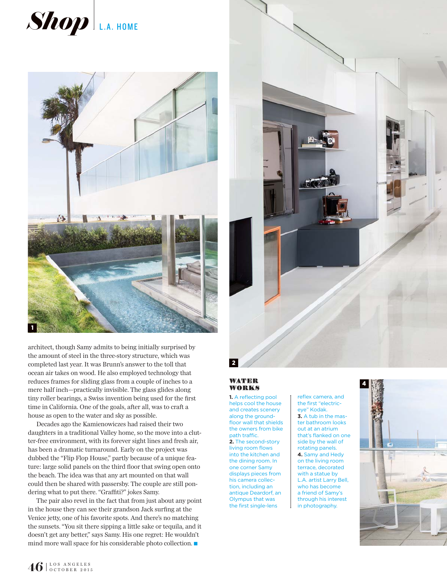



architect, though Samy admits to being initially surprised by the amount of steel in the three-story structure, which was completed last year. It was Brunn's answer to the toll that ocean air takes on wood. He also employed technology that reduces frames for sliding glass from a couple of inches to a mere half inch—practically invisible. The glass glides along tiny roller bearings, a Swiss invention being used for the first time in California. One of the goals, after all, was to craft a house as open to the water and sky as possible.

Decades ago the Kamienowiczes had raised their two daughters in a traditional Valley home, so the move into a clutter-free environment, with its forever sight lines and fresh air, has been a dramatic turnaround. Early on the project was dubbed the "Flip Flop House," partly because of a unique feature: large solid panels on the third floor that swing open onto the beach. The idea was that any art mounted on that wall could then be shared with passersby. The couple are still pondering what to put there. "Graffiti?" jokes Samy.

The pair also revel in the fact that from just about any point in the house they can see their grandson Jack surfing at the Venice jetty, one of his favorite spots. And there's no matching the sunsets. "You sit there sipping a little sake or tequila, and it doesn't get any better," says Samy. His one regret: He wouldn't mind more wall space for his considerable photo collection.  $\blacksquare$ 



### **WATER** WORKS

**1.** A reflecting pool helps cool the house and creates scenery along the groundfloor wall that shields the owners from bike path traffic. **2.** The second-story living room flows into the kitchen and the dining room. In one corner Samy displays pieces from his camera collection, including an antique Deardorf, an Olympus that was the first single-lens

reflex camera, and the first "electriceye" Kodak. **3.** A tub in the master bathroom looks out at an atrium that's flanked on one side by the wall of rotating panels. **4.** Samy and Hedy on the living room terrace, decorated with a statue by L.A. artist Larry Bell, who has become a friend of Samy's through his interest in photography.